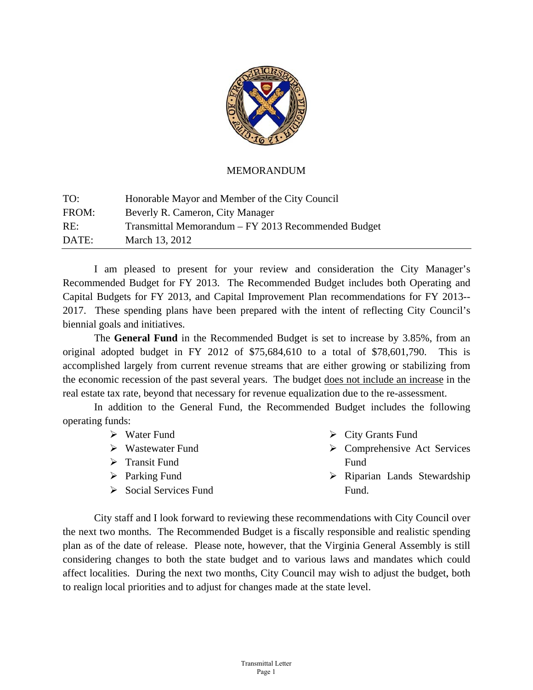

### **MEMORANDUM**

| TO:   | Honorable Mayor and Member of the City Council      |
|-------|-----------------------------------------------------|
| FROM: | Beverly R. Cameron, City Manager                    |
| RE:   | Transmittal Memorandum – FY 2013 Recommended Budget |
| DATE: | March 13, 2012                                      |

I am pleased to present for your review and consideration the City Manager's Recommended Budget for FY 2013. The Recommended Budget includes both Operating and Capital Budgets for FY 2013, and Capital Improvement Plan recommendations for FY 2013--2017. These spending plans have been prepared with the intent of reflecting City Council's biennial goals and initiatives.

The General Fund in the Recommended Budget is set to increase by 3.85%, from an original adopted budget in FY 2012 of  $$75,684,610$  to a total of  $$78,601,790$ . Th accomplished largely from current revenue streams that are either growing or stabilizing from the economic recession of the past several years. The budget does not include an increase in the real estate tax rate, beyond that necessary for revenue equalization due to the re-assessment. This is

In addition to the General Fund, the Recommended Budget includes the following operating funds:

|  | Water Fund |  |
|--|------------|--|
|--|------------|--|

- ▶ Wastewater Fund
- > Transit Fund
- > Parking Fund
- > Social Services Fund
- ▶ City Grants Fund
- $\triangleright$  Comprehensive Act Services F Fund
- > Riparian Lands Stewardship F Fund.

City staff and I look forward to reviewing these recommendations with City Council over the next two months. The Recommended Budget is a fiscally responsible and realistic spending plan as of the date of release. Please note, however, that the Virginia General Assembly is still considering changes to both the state budget and to various laws and mandates which could affect localities. During the next two months, City Council may wish to adjust the budget, both to realign local priorities and to adjust for changes made at the state level.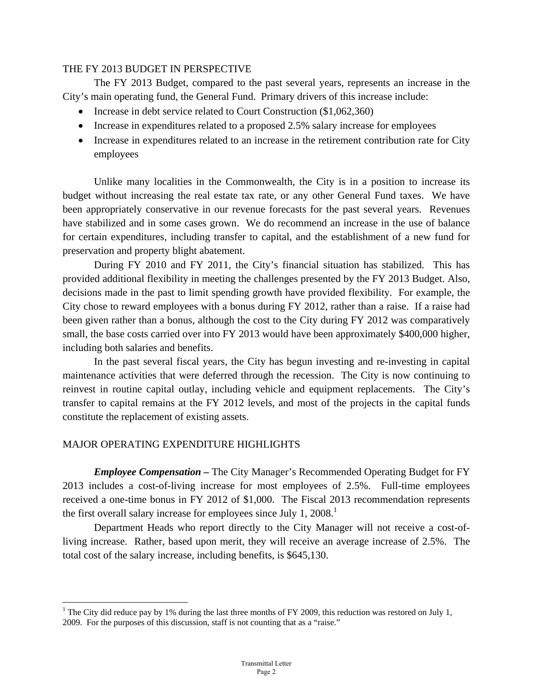### THE FY 2013 BUDGET IN PERSPECTIVE

 The FY 2013 Budget, compared to the past several years, represents an increase in the City's main operating fund, the General Fund. Primary drivers of this increase include:

- Increase in debt service related to Court Construction (\$1,062,360)
- Increase in expenditures related to a proposed 2.5% salary increase for employees
- Increase in expenditures related to an increase in the retirement contribution rate for City employees

Unlike many localities in the Commonwealth, the City is in a position to increase its budget without increasing the real estate tax rate, or any other General Fund taxes. We have been appropriately conservative in our revenue forecasts for the past several years. Revenues have stabilized and in some cases grown. We do recommend an increase in the use of balance for certain expenditures, including transfer to capital, and the establishment of a new fund for preservation and property blight abatement.

 During FY 2010 and FY 2011, the City's financial situation has stabilized. This has provided additional flexibility in meeting the challenges presented by the FY 2013 Budget. Also, decisions made in the past to limit spending growth have provided flexibility. For example, the City chose to reward employees with a bonus during FY 2012, rather than a raise. If a raise had been given rather than a bonus, although the cost to the City during FY 2012 was comparatively small, the base costs carried over into FY 2013 would have been approximately \$400,000 higher, including both salaries and benefits.

 In the past several fiscal years, the City has begun investing and re-investing in capital maintenance activities that were deferred through the recession. The City is now continuing to reinvest in routine capital outlay, including vehicle and equipment replacements. The City's transfer to capital remains at the FY 2012 levels, and most of the projects in the capital funds constitute the replacement of existing assets.

## MAJOR OPERATING EXPENDITURE HIGHLIGHTS

 $\overline{a}$ 

*Employee Compensation –* The City Manager's Recommended Operating Budget for FY 2013 includes a cost-of-living increase for most employees of 2.5%. Full-time employees received a one-time bonus in FY 2012 of \$1,000. The Fiscal 2013 recommendation represents the first overall salary increase for employees since July 1,  $2008$ <sup>1</sup>

Department Heads who report directly to the City Manager will not receive a cost-ofliving increase. Rather, based upon merit, they will receive an average increase of 2.5%. The total cost of the salary increase, including benefits, is \$645,130.

<sup>&</sup>lt;sup>1</sup> The City did reduce pay by 1% during the last three months of FY 2009, this reduction was restored on July 1, 2009. For the purposes of this discussion, staff is not counting that as a "raise."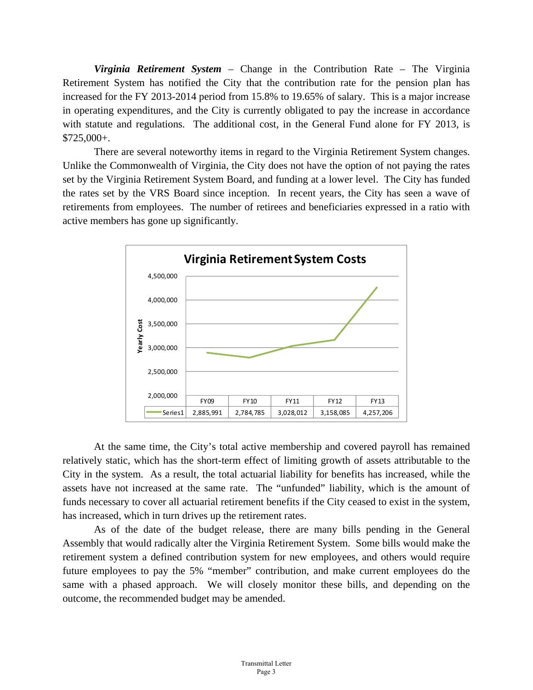*Virginia Retirement System* – Change in the Contribution Rate – The Virginia Retirement System has notified the City that the contribution rate for the pension plan has increased for the FY 2013-2014 period from 15.8% to 19.65% of salary. This is a major increase in operating expenditures, and the City is currently obligated to pay the increase in accordance with statute and regulations. The additional cost, in the General Fund alone for FY 2013, is \$725,000+.

 There are several noteworthy items in regard to the Virginia Retirement System changes. Unlike the Commonwealth of Virginia, the City does not have the option of not paying the rates set by the Virginia Retirement System Board, and funding at a lower level. The City has funded the rates set by the VRS Board since inception. In recent years, the City has seen a wave of retirements from employees. The number of retirees and beneficiaries expressed in a ratio with active members has gone up significantly.



 At the same time, the City's total active membership and covered payroll has remained relatively static, which has the short-term effect of limiting growth of assets attributable to the City in the system. As a result, the total actuarial liability for benefits has increased, while the assets have not increased at the same rate. The "unfunded" liability, which is the amount of funds necessary to cover all actuarial retirement benefits if the City ceased to exist in the system, has increased, which in turn drives up the retirement rates.

 As of the date of the budget release, there are many bills pending in the General Assembly that would radically alter the Virginia Retirement System. Some bills would make the retirement system a defined contribution system for new employees, and others would require future employees to pay the 5% "member" contribution, and make current employees do the same with a phased approach. We will closely monitor these bills, and depending on the outcome, the recommended budget may be amended.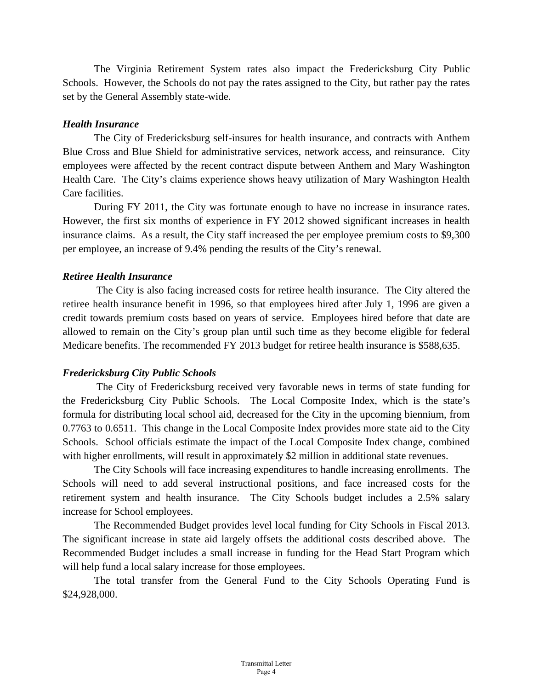The Virginia Retirement System rates also impact the Fredericksburg City Public Schools. However, the Schools do not pay the rates assigned to the City, but rather pay the rates set by the General Assembly state-wide.

### *Health Insurance*

 The City of Fredericksburg self-insures for health insurance, and contracts with Anthem Blue Cross and Blue Shield for administrative services, network access, and reinsurance. City employees were affected by the recent contract dispute between Anthem and Mary Washington Health Care. The City's claims experience shows heavy utilization of Mary Washington Health Care facilities.

 During FY 2011, the City was fortunate enough to have no increase in insurance rates. However, the first six months of experience in FY 2012 showed significant increases in health insurance claims. As a result, the City staff increased the per employee premium costs to \$9,300 per employee, an increase of 9.4% pending the results of the City's renewal.

### *Retiree Health Insurance*

The City is also facing increased costs for retiree health insurance. The City altered the retiree health insurance benefit in 1996, so that employees hired after July 1, 1996 are given a credit towards premium costs based on years of service. Employees hired before that date are allowed to remain on the City's group plan until such time as they become eligible for federal Medicare benefits. The recommended FY 2013 budget for retiree health insurance is \$588,635.

## *Fredericksburg City Public Schools*

The City of Fredericksburg received very favorable news in terms of state funding for the Fredericksburg City Public Schools. The Local Composite Index, which is the state's formula for distributing local school aid, decreased for the City in the upcoming biennium, from 0.7763 to 0.6511. This change in the Local Composite Index provides more state aid to the City Schools. School officials estimate the impact of the Local Composite Index change, combined with higher enrollments, will result in approximately \$2 million in additional state revenues.

 The City Schools will face increasing expenditures to handle increasing enrollments. The Schools will need to add several instructional positions, and face increased costs for the retirement system and health insurance. The City Schools budget includes a 2.5% salary increase for School employees.

The Recommended Budget provides level local funding for City Schools in Fiscal 2013. The significant increase in state aid largely offsets the additional costs described above. The Recommended Budget includes a small increase in funding for the Head Start Program which will help fund a local salary increase for those employees.

 The total transfer from the General Fund to the City Schools Operating Fund is \$24,928,000.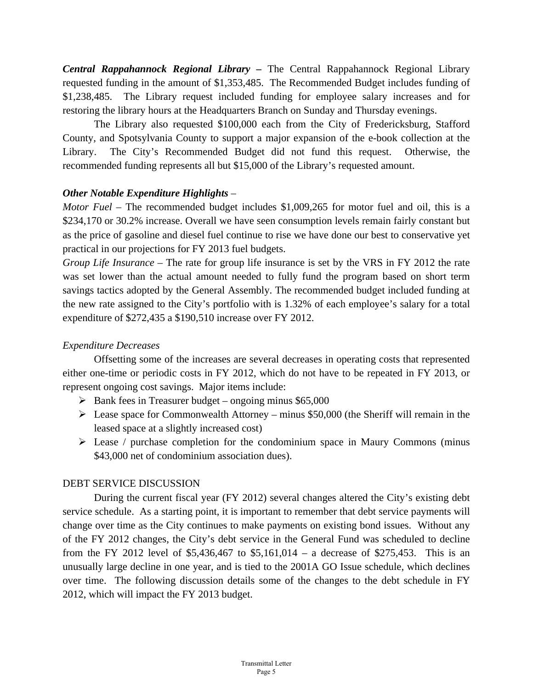*Central Rappahannock Regional Library –* The Central Rappahannock Regional Library requested funding in the amount of \$1,353,485. The Recommended Budget includes funding of \$1,238,485. The Library request included funding for employee salary increases and for restoring the library hours at the Headquarters Branch on Sunday and Thursday evenings.

 The Library also requested \$100,000 each from the City of Fredericksburg, Stafford County, and Spotsylvania County to support a major expansion of the e-book collection at the Library. The City's Recommended Budget did not fund this request. Otherwise, the recommended funding represents all but \$15,000 of the Library's requested amount.

## *Other Notable Expenditure Highlights –*

*Motor Fuel –* The recommended budget includes \$1,009,265 for motor fuel and oil, this is a \$234,170 or 30.2% increase. Overall we have seen consumption levels remain fairly constant but as the price of gasoline and diesel fuel continue to rise we have done our best to conservative yet practical in our projections for FY 2013 fuel budgets.

*Group Life Insurance –* The rate for group life insurance is set by the VRS in FY 2012 the rate was set lower than the actual amount needed to fully fund the program based on short term savings tactics adopted by the General Assembly. The recommended budget included funding at the new rate assigned to the City's portfolio with is 1.32% of each employee's salary for a total expenditure of \$272,435 a \$190,510 increase over FY 2012.

# *Expenditure Decreases*

 Offsetting some of the increases are several decreases in operating costs that represented either one-time or periodic costs in FY 2012, which do not have to be repeated in FY 2013, or represent ongoing cost savings. Major items include:

- $\triangleright$  Bank fees in Treasurer budget ongoing minus \$65,000
- $\triangleright$  Lease space for Commonwealth Attorney minus \$50,000 (the Sheriff will remain in the leased space at a slightly increased cost)
- $\triangleright$  Lease / purchase completion for the condominium space in Maury Commons (minus \$43,000 net of condominium association dues).

## DEBT SERVICE DISCUSSION

 During the current fiscal year (FY 2012) several changes altered the City's existing debt service schedule. As a starting point, it is important to remember that debt service payments will change over time as the City continues to make payments on existing bond issues. Without any of the FY 2012 changes, the City's debt service in the General Fund was scheduled to decline from the FY 2012 level of \$5,436,467 to \$5,161,014 – a decrease of \$275,453. This is an unusually large decline in one year, and is tied to the 2001A GO Issue schedule, which declines over time. The following discussion details some of the changes to the debt schedule in FY 2012, which will impact the FY 2013 budget.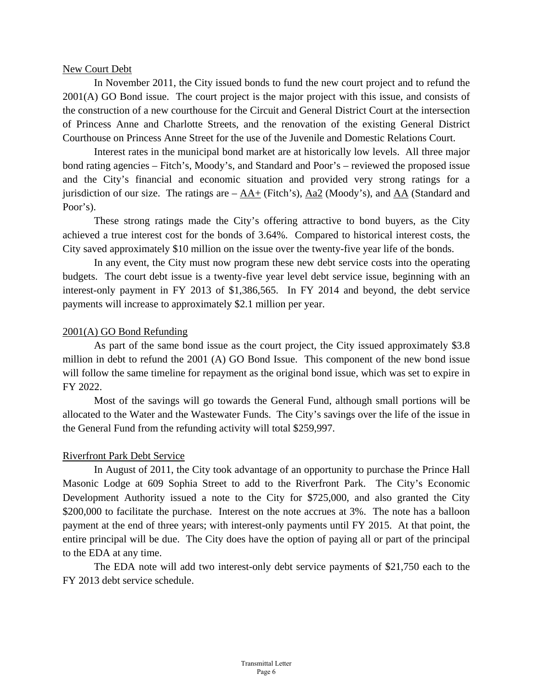#### New Court Debt

 In November 2011, the City issued bonds to fund the new court project and to refund the 2001(A) GO Bond issue. The court project is the major project with this issue, and consists of the construction of a new courthouse for the Circuit and General District Court at the intersection of Princess Anne and Charlotte Streets, and the renovation of the existing General District Courthouse on Princess Anne Street for the use of the Juvenile and Domestic Relations Court.

 Interest rates in the municipal bond market are at historically low levels. All three major bond rating agencies – Fitch's, Moody's, and Standard and Poor's – reviewed the proposed issue and the City's financial and economic situation and provided very strong ratings for a jurisdiction of our size. The ratings are – AA+ (Fitch's), Aa2 (Moody's), and AA (Standard and Poor's).

 These strong ratings made the City's offering attractive to bond buyers, as the City achieved a true interest cost for the bonds of 3.64%. Compared to historical interest costs, the City saved approximately \$10 million on the issue over the twenty-five year life of the bonds.

 In any event, the City must now program these new debt service costs into the operating budgets. The court debt issue is a twenty-five year level debt service issue, beginning with an interest-only payment in FY 2013 of \$1,386,565. In FY 2014 and beyond, the debt service payments will increase to approximately \$2.1 million per year.

#### 2001(A) GO Bond Refunding

 As part of the same bond issue as the court project, the City issued approximately \$3.8 million in debt to refund the 2001 (A) GO Bond Issue. This component of the new bond issue will follow the same timeline for repayment as the original bond issue, which was set to expire in FY 2022.

 Most of the savings will go towards the General Fund, although small portions will be allocated to the Water and the Wastewater Funds. The City's savings over the life of the issue in the General Fund from the refunding activity will total \$259,997.

#### Riverfront Park Debt Service

 In August of 2011, the City took advantage of an opportunity to purchase the Prince Hall Masonic Lodge at 609 Sophia Street to add to the Riverfront Park. The City's Economic Development Authority issued a note to the City for \$725,000, and also granted the City \$200,000 to facilitate the purchase. Interest on the note accrues at 3%. The note has a balloon payment at the end of three years; with interest-only payments until FY 2015. At that point, the entire principal will be due. The City does have the option of paying all or part of the principal to the EDA at any time.

 The EDA note will add two interest-only debt service payments of \$21,750 each to the FY 2013 debt service schedule.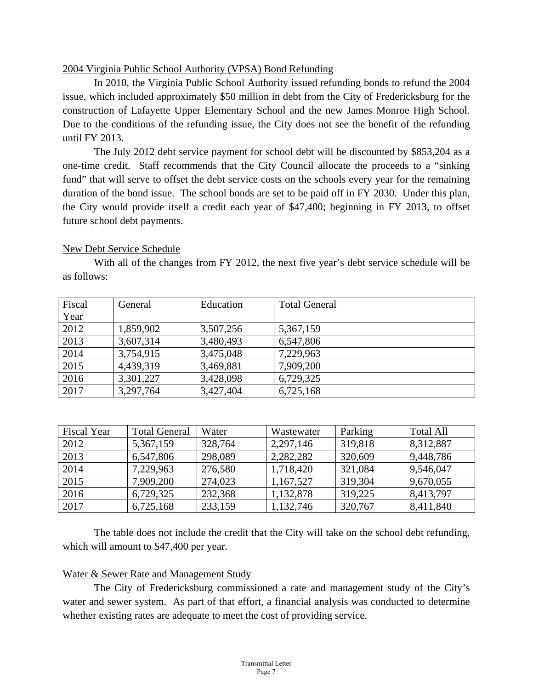### 2004 Virginia Public School Authority (VPSA) Bond Refunding

 In 2010, the Virginia Public School Authority issued refunding bonds to refund the 2004 issue, which included approximately \$50 million in debt from the City of Fredericksburg for the construction of Lafayette Upper Elementary School and the new James Monroe High School. Due to the conditions of the refunding issue, the City does not see the benefit of the refunding until FY 2013.

The July 2012 debt service payment for school debt will be discounted by \$853,204 as a one-time credit. Staff recommends that the City Council allocate the proceeds to a "sinking fund" that will serve to offset the debt service costs on the schools every year for the remaining duration of the bond issue. The school bonds are set to be paid off in FY 2030. Under this plan, the City would provide itself a credit each year of \$47,400; beginning in FY 2013, to offset future school debt payments.

### New Debt Service Schedule

 With all of the changes from FY 2012, the next five year's debt service schedule will be as follows:

| Fiscal<br>Year | General   | Education | <b>Total General</b> |
|----------------|-----------|-----------|----------------------|
| 2012           | 1,859,902 | 3,507,256 | 5,367,159            |
| 2013           | 3,607,314 | 3,480,493 | 6,547,806            |
| 2014           | 3,754,915 | 3,475,048 | 7,229,963            |
| 2015           | 4,439,319 | 3,469,881 | 7,909,200            |
| 2016           | 3,301,227 | 3,428,098 | 6,729,325            |
| 2017           | 3,297,764 | 3,427,404 | 6,725,168            |

| <b>Fiscal Year</b> | <b>Total General</b> | Water   | Wastewater | Parking | <b>Total All</b> |
|--------------------|----------------------|---------|------------|---------|------------------|
| 2012               | 5,367,159            | 328,764 | 2,297,146  | 319,818 | 8,312,887        |
| 2013               | 6,547,806            | 298,089 | 2,282,282  | 320,609 | 9,448,786        |
| 2014               | 7,229,963            | 276,580 | 1,718,420  | 321,084 | 9,546,047        |
| 2015               | 7,909,200            | 274,023 | 1,167,527  | 319,304 | 9,670,055        |
| 2016               | 6,729,325            | 232,368 | 1,132,878  | 319,225 | 8,413,797        |
| 2017               | 6,725,168            | 233,159 | 1,132,746  | 320,767 | 8,411,840        |

 The table does not include the credit that the City will take on the school debt refunding, which will amount to \$47,400 per year.

#### Water & Sewer Rate and Management Study

 The City of Fredericksburg commissioned a rate and management study of the City's water and sewer system. As part of that effort, a financial analysis was conducted to determine whether existing rates are adequate to meet the cost of providing service.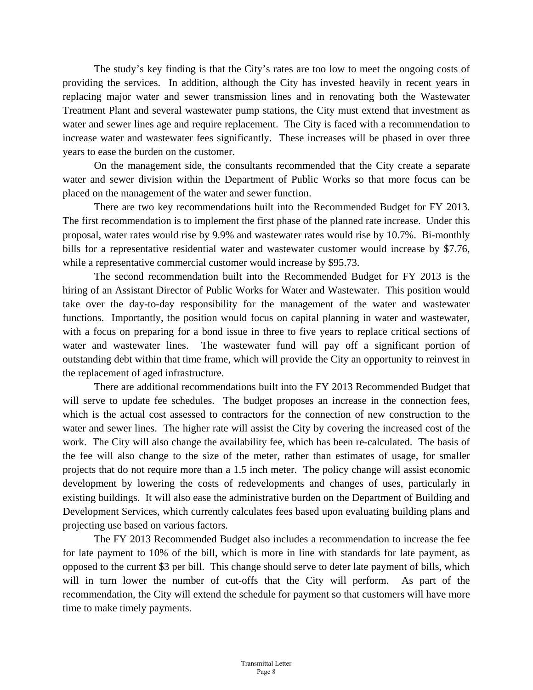The study's key finding is that the City's rates are too low to meet the ongoing costs of providing the services. In addition, although the City has invested heavily in recent years in replacing major water and sewer transmission lines and in renovating both the Wastewater Treatment Plant and several wastewater pump stations, the City must extend that investment as water and sewer lines age and require replacement. The City is faced with a recommendation to increase water and wastewater fees significantly. These increases will be phased in over three years to ease the burden on the customer.

 On the management side, the consultants recommended that the City create a separate water and sewer division within the Department of Public Works so that more focus can be placed on the management of the water and sewer function.

 There are two key recommendations built into the Recommended Budget for FY 2013. The first recommendation is to implement the first phase of the planned rate increase. Under this proposal, water rates would rise by 9.9% and wastewater rates would rise by 10.7%. Bi-monthly bills for a representative residential water and wastewater customer would increase by \$7.76, while a representative commercial customer would increase by \$95.73.

 The second recommendation built into the Recommended Budget for FY 2013 is the hiring of an Assistant Director of Public Works for Water and Wastewater. This position would take over the day-to-day responsibility for the management of the water and wastewater functions. Importantly, the position would focus on capital planning in water and wastewater, with a focus on preparing for a bond issue in three to five years to replace critical sections of water and wastewater lines. The wastewater fund will pay off a significant portion of outstanding debt within that time frame, which will provide the City an opportunity to reinvest in the replacement of aged infrastructure.

 There are additional recommendations built into the FY 2013 Recommended Budget that will serve to update fee schedules. The budget proposes an increase in the connection fees, which is the actual cost assessed to contractors for the connection of new construction to the water and sewer lines. The higher rate will assist the City by covering the increased cost of the work. The City will also change the availability fee, which has been re-calculated. The basis of the fee will also change to the size of the meter, rather than estimates of usage, for smaller projects that do not require more than a 1.5 inch meter. The policy change will assist economic development by lowering the costs of redevelopments and changes of uses, particularly in existing buildings. It will also ease the administrative burden on the Department of Building and Development Services, which currently calculates fees based upon evaluating building plans and projecting use based on various factors.

 The FY 2013 Recommended Budget also includes a recommendation to increase the fee for late payment to 10% of the bill, which is more in line with standards for late payment, as opposed to the current \$3 per bill. This change should serve to deter late payment of bills, which will in turn lower the number of cut-offs that the City will perform. As part of the recommendation, the City will extend the schedule for payment so that customers will have more time to make timely payments.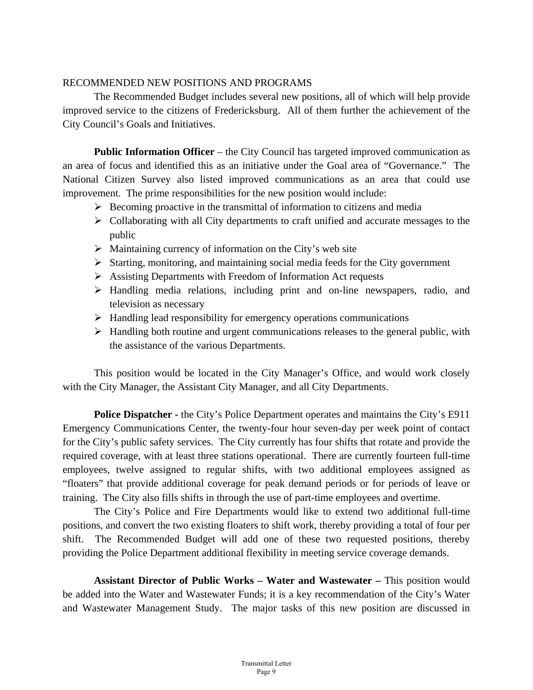### RECOMMENDED NEW POSITIONS AND PROGRAMS

 The Recommended Budget includes several new positions, all of which will help provide improved service to the citizens of Fredericksburg. All of them further the achievement of the City Council's Goals and Initiatives.

**Public Information Officer** – the City Council has targeted improved communication as an area of focus and identified this as an initiative under the Goal area of "Governance." The National Citizen Survey also listed improved communications as an area that could use improvement. The prime responsibilities for the new position would include:

- $\triangleright$  Becoming proactive in the transmittal of information to citizens and media
- $\triangleright$  Collaborating with all City departments to craft unified and accurate messages to the public
- $\triangleright$  Maintaining currency of information on the City's web site
- $\triangleright$  Starting, monitoring, and maintaining social media feeds for the City government
- Assisting Departments with Freedom of Information Act requests
- Handling media relations, including print and on-line newspapers, radio, and television as necessary
- $\triangleright$  Handling lead responsibility for emergency operations communications
- $\triangleright$  Handling both routine and urgent communications releases to the general public, with the assistance of the various Departments.

This position would be located in the City Manager's Office, and would work closely with the City Manager, the Assistant City Manager, and all City Departments.

**Police Dispatcher -** the City's Police Department operates and maintains the City's E911 Emergency Communications Center, the twenty-four hour seven-day per week point of contact for the City's public safety services. The City currently has four shifts that rotate and provide the required coverage, with at least three stations operational. There are currently fourteen full-time employees, twelve assigned to regular shifts, with two additional employees assigned as "floaters" that provide additional coverage for peak demand periods or for periods of leave or training. The City also fills shifts in through the use of part-time employees and overtime.

The City's Police and Fire Departments would like to extend two additional full-time positions, and convert the two existing floaters to shift work, thereby providing a total of four per shift. The Recommended Budget will add one of these two requested positions, thereby providing the Police Department additional flexibility in meeting service coverage demands.

**Assistant Director of Public Works – Water and Wastewater –** This position would be added into the Water and Wastewater Funds; it is a key recommendation of the City's Water and Wastewater Management Study. The major tasks of this new position are discussed in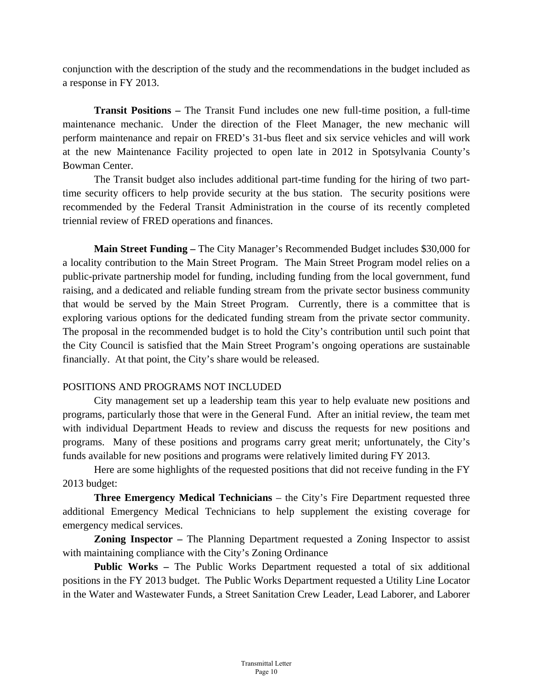conjunction with the description of the study and the recommendations in the budget included as a response in FY 2013.

**Transit Positions –** The Transit Fund includes one new full-time position, a full-time maintenance mechanic. Under the direction of the Fleet Manager, the new mechanic will perform maintenance and repair on FRED's 31-bus fleet and six service vehicles and will work at the new Maintenance Facility projected to open late in 2012 in Spotsylvania County's Bowman Center.

The Transit budget also includes additional part-time funding for the hiring of two parttime security officers to help provide security at the bus station. The security positions were recommended by the Federal Transit Administration in the course of its recently completed triennial review of FRED operations and finances.

**Main Street Funding –** The City Manager's Recommended Budget includes \$30,000 for a locality contribution to the Main Street Program. The Main Street Program model relies on a public-private partnership model for funding, including funding from the local government, fund raising, and a dedicated and reliable funding stream from the private sector business community that would be served by the Main Street Program. Currently, there is a committee that is exploring various options for the dedicated funding stream from the private sector community. The proposal in the recommended budget is to hold the City's contribution until such point that the City Council is satisfied that the Main Street Program's ongoing operations are sustainable financially. At that point, the City's share would be released.

## POSITIONS AND PROGRAMS NOT INCLUDED

 City management set up a leadership team this year to help evaluate new positions and programs, particularly those that were in the General Fund. After an initial review, the team met with individual Department Heads to review and discuss the requests for new positions and programs. Many of these positions and programs carry great merit; unfortunately, the City's funds available for new positions and programs were relatively limited during FY 2013.

 Here are some highlights of the requested positions that did not receive funding in the FY 2013 budget:

**Three Emergency Medical Technicians** – the City's Fire Department requested three additional Emergency Medical Technicians to help supplement the existing coverage for emergency medical services.

**Zoning Inspector –** The Planning Department requested a Zoning Inspector to assist with maintaining compliance with the City's Zoning Ordinance

**Public Works –** The Public Works Department requested a total of six additional positions in the FY 2013 budget. The Public Works Department requested a Utility Line Locator in the Water and Wastewater Funds, a Street Sanitation Crew Leader, Lead Laborer, and Laborer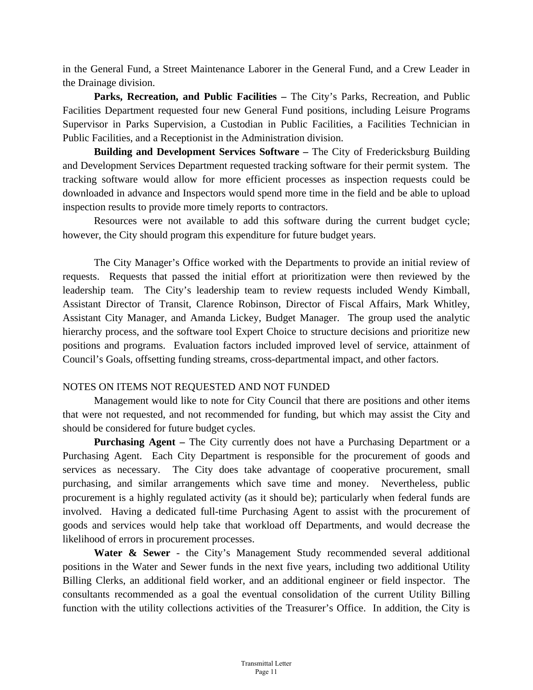in the General Fund, a Street Maintenance Laborer in the General Fund, and a Crew Leader in the Drainage division.

**Parks, Recreation, and Public Facilities –** The City's Parks, Recreation, and Public Facilities Department requested four new General Fund positions, including Leisure Programs Supervisor in Parks Supervision, a Custodian in Public Facilities, a Facilities Technician in Public Facilities, and a Receptionist in the Administration division.

**Building and Development Services Software –** The City of Fredericksburg Building and Development Services Department requested tracking software for their permit system. The tracking software would allow for more efficient processes as inspection requests could be downloaded in advance and Inspectors would spend more time in the field and be able to upload inspection results to provide more timely reports to contractors.

 Resources were not available to add this software during the current budget cycle; however, the City should program this expenditure for future budget years.

 The City Manager's Office worked with the Departments to provide an initial review of requests. Requests that passed the initial effort at prioritization were then reviewed by the leadership team. The City's leadership team to review requests included Wendy Kimball, Assistant Director of Transit, Clarence Robinson, Director of Fiscal Affairs, Mark Whitley, Assistant City Manager, and Amanda Lickey, Budget Manager. The group used the analytic hierarchy process, and the software tool Expert Choice to structure decisions and prioritize new positions and programs. Evaluation factors included improved level of service, attainment of Council's Goals, offsetting funding streams, cross-departmental impact, and other factors.

## NOTES ON ITEMS NOT REQUESTED AND NOT FUNDED

 Management would like to note for City Council that there are positions and other items that were not requested, and not recommended for funding, but which may assist the City and should be considered for future budget cycles.

**Purchasing Agent –** The City currently does not have a Purchasing Department or a Purchasing Agent. Each City Department is responsible for the procurement of goods and services as necessary. The City does take advantage of cooperative procurement, small purchasing, and similar arrangements which save time and money. Nevertheless, public procurement is a highly regulated activity (as it should be); particularly when federal funds are involved. Having a dedicated full-time Purchasing Agent to assist with the procurement of goods and services would help take that workload off Departments, and would decrease the likelihood of errors in procurement processes.

Water & Sewer - the City's Management Study recommended several additional positions in the Water and Sewer funds in the next five years, including two additional Utility Billing Clerks, an additional field worker, and an additional engineer or field inspector. The consultants recommended as a goal the eventual consolidation of the current Utility Billing function with the utility collections activities of the Treasurer's Office. In addition, the City is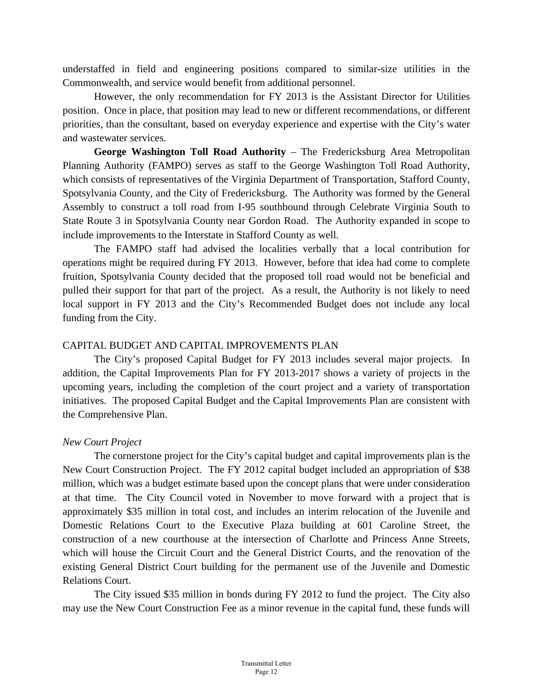understaffed in field and engineering positions compared to similar-size utilities in the Commonwealth, and service would benefit from additional personnel.

However, the only recommendation for FY 2013 is the Assistant Director for Utilities position. Once in place, that position may lead to new or different recommendations, or different priorities, than the consultant, based on everyday experience and expertise with the City's water and wastewater services.

**George Washington Toll Road Authority** – The Fredericksburg Area Metropolitan Planning Authority (FAMPO) serves as staff to the George Washington Toll Road Authority, which consists of representatives of the Virginia Department of Transportation, Stafford County, Spotsylvania County, and the City of Fredericksburg. The Authority was formed by the General Assembly to construct a toll road from I-95 southbound through Celebrate Virginia South to State Route 3 in Spotsylvania County near Gordon Road. The Authority expanded in scope to include improvements to the Interstate in Stafford County as well.

The FAMPO staff had advised the localities verbally that a local contribution for operations might be required during FY 2013. However, before that idea had come to complete fruition, Spotsylvania County decided that the proposed toll road would not be beneficial and pulled their support for that part of the project. As a result, the Authority is not likely to need local support in FY 2013 and the City's Recommended Budget does not include any local funding from the City.

## CAPITAL BUDGET AND CAPITAL IMPROVEMENTS PLAN

 The City's proposed Capital Budget for FY 2013 includes several major projects. In addition, the Capital Improvements Plan for FY 2013-2017 shows a variety of projects in the upcoming years, including the completion of the court project and a variety of transportation initiatives. The proposed Capital Budget and the Capital Improvements Plan are consistent with the Comprehensive Plan.

## *New Court Project*

 The cornerstone project for the City's capital budget and capital improvements plan is the New Court Construction Project. The FY 2012 capital budget included an appropriation of \$38 million, which was a budget estimate based upon the concept plans that were under consideration at that time. The City Council voted in November to move forward with a project that is approximately \$35 million in total cost, and includes an interim relocation of the Juvenile and Domestic Relations Court to the Executive Plaza building at 601 Caroline Street, the construction of a new courthouse at the intersection of Charlotte and Princess Anne Streets, which will house the Circuit Court and the General District Courts, and the renovation of the existing General District Court building for the permanent use of the Juvenile and Domestic Relations Court.

 The City issued \$35 million in bonds during FY 2012 to fund the project. The City also may use the New Court Construction Fee as a minor revenue in the capital fund, these funds will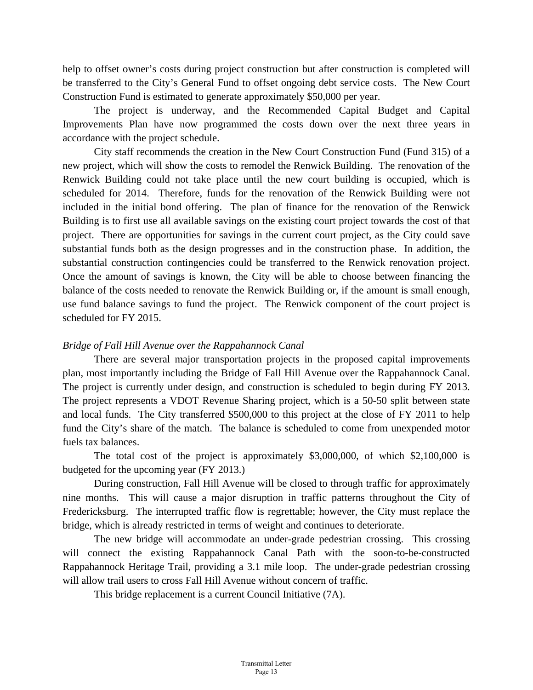help to offset owner's costs during project construction but after construction is completed will be transferred to the City's General Fund to offset ongoing debt service costs. The New Court Construction Fund is estimated to generate approximately \$50,000 per year.

 The project is underway, and the Recommended Capital Budget and Capital Improvements Plan have now programmed the costs down over the next three years in accordance with the project schedule.

 City staff recommends the creation in the New Court Construction Fund (Fund 315) of a new project, which will show the costs to remodel the Renwick Building. The renovation of the Renwick Building could not take place until the new court building is occupied, which is scheduled for 2014. Therefore, funds for the renovation of the Renwick Building were not included in the initial bond offering. The plan of finance for the renovation of the Renwick Building is to first use all available savings on the existing court project towards the cost of that project. There are opportunities for savings in the current court project, as the City could save substantial funds both as the design progresses and in the construction phase. In addition, the substantial construction contingencies could be transferred to the Renwick renovation project. Once the amount of savings is known, the City will be able to choose between financing the balance of the costs needed to renovate the Renwick Building or, if the amount is small enough, use fund balance savings to fund the project. The Renwick component of the court project is scheduled for FY 2015.

### *Bridge of Fall Hill Avenue over the Rappahannock Canal*

 There are several major transportation projects in the proposed capital improvements plan, most importantly including the Bridge of Fall Hill Avenue over the Rappahannock Canal. The project is currently under design, and construction is scheduled to begin during FY 2013. The project represents a VDOT Revenue Sharing project, which is a 50-50 split between state and local funds. The City transferred \$500,000 to this project at the close of FY 2011 to help fund the City's share of the match. The balance is scheduled to come from unexpended motor fuels tax balances.

 The total cost of the project is approximately \$3,000,000, of which \$2,100,000 is budgeted for the upcoming year (FY 2013.)

 During construction, Fall Hill Avenue will be closed to through traffic for approximately nine months. This will cause a major disruption in traffic patterns throughout the City of Fredericksburg. The interrupted traffic flow is regrettable; however, the City must replace the bridge, which is already restricted in terms of weight and continues to deteriorate.

 The new bridge will accommodate an under-grade pedestrian crossing. This crossing will connect the existing Rappahannock Canal Path with the soon-to-be-constructed Rappahannock Heritage Trail, providing a 3.1 mile loop. The under-grade pedestrian crossing will allow trail users to cross Fall Hill Avenue without concern of traffic.

This bridge replacement is a current Council Initiative (7A).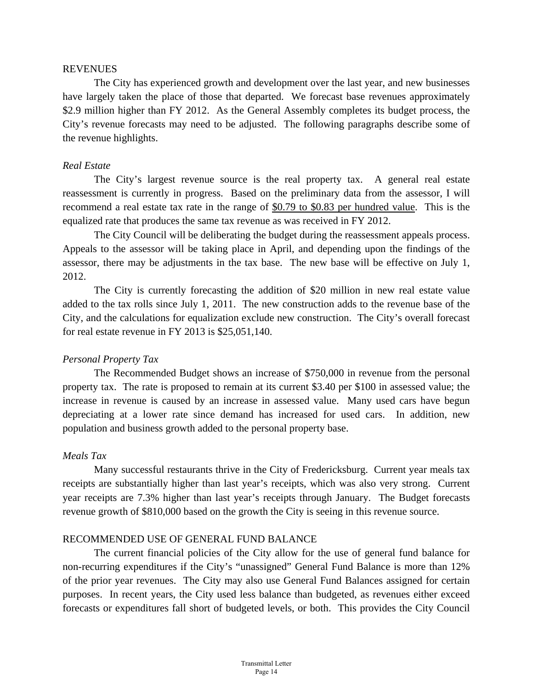#### **REVENUES**

The City has experienced growth and development over the last year, and new businesses have largely taken the place of those that departed. We forecast base revenues approximately \$2.9 million higher than FY 2012. As the General Assembly completes its budget process, the City's revenue forecasts may need to be adjusted. The following paragraphs describe some of the revenue highlights.

#### *Real Estate*

 The City's largest revenue source is the real property tax. A general real estate reassessment is currently in progress. Based on the preliminary data from the assessor, I will recommend a real estate tax rate in the range of \$0.79 to \$0.83 per hundred value. This is the equalized rate that produces the same tax revenue as was received in FY 2012.

 The City Council will be deliberating the budget during the reassessment appeals process. Appeals to the assessor will be taking place in April, and depending upon the findings of the assessor, there may be adjustments in the tax base. The new base will be effective on July 1, 2012.

 The City is currently forecasting the addition of \$20 million in new real estate value added to the tax rolls since July 1, 2011. The new construction adds to the revenue base of the City, and the calculations for equalization exclude new construction. The City's overall forecast for real estate revenue in FY 2013 is \$25,051,140.

#### *Personal Property Tax*

 The Recommended Budget shows an increase of \$750,000 in revenue from the personal property tax. The rate is proposed to remain at its current \$3.40 per \$100 in assessed value; the increase in revenue is caused by an increase in assessed value. Many used cars have begun depreciating at a lower rate since demand has increased for used cars. In addition, new population and business growth added to the personal property base.

## *Meals Tax*

 Many successful restaurants thrive in the City of Fredericksburg. Current year meals tax receipts are substantially higher than last year's receipts, which was also very strong. Current year receipts are 7.3% higher than last year's receipts through January. The Budget forecasts revenue growth of \$810,000 based on the growth the City is seeing in this revenue source.

#### RECOMMENDED USE OF GENERAL FUND BALANCE

 The current financial policies of the City allow for the use of general fund balance for non-recurring expenditures if the City's "unassigned" General Fund Balance is more than 12% of the prior year revenues. The City may also use General Fund Balances assigned for certain purposes. In recent years, the City used less balance than budgeted, as revenues either exceed forecasts or expenditures fall short of budgeted levels, or both. This provides the City Council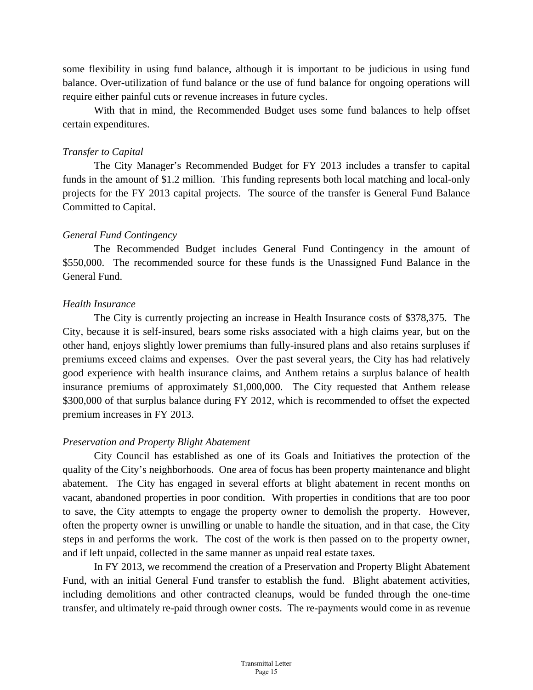some flexibility in using fund balance, although it is important to be judicious in using fund balance. Over-utilization of fund balance or the use of fund balance for ongoing operations will require either painful cuts or revenue increases in future cycles.

 With that in mind, the Recommended Budget uses some fund balances to help offset certain expenditures.

### *Transfer to Capital*

 The City Manager's Recommended Budget for FY 2013 includes a transfer to capital funds in the amount of \$1.2 million. This funding represents both local matching and local-only projects for the FY 2013 capital projects. The source of the transfer is General Fund Balance Committed to Capital.

### *General Fund Contingency*

 The Recommended Budget includes General Fund Contingency in the amount of \$550,000. The recommended source for these funds is the Unassigned Fund Balance in the General Fund.

### *Health Insurance*

 The City is currently projecting an increase in Health Insurance costs of \$378,375. The City, because it is self-insured, bears some risks associated with a high claims year, but on the other hand, enjoys slightly lower premiums than fully-insured plans and also retains surpluses if premiums exceed claims and expenses. Over the past several years, the City has had relatively good experience with health insurance claims, and Anthem retains a surplus balance of health insurance premiums of approximately \$1,000,000. The City requested that Anthem release \$300,000 of that surplus balance during FY 2012, which is recommended to offset the expected premium increases in FY 2013.

## *Preservation and Property Blight Abatement*

 City Council has established as one of its Goals and Initiatives the protection of the quality of the City's neighborhoods. One area of focus has been property maintenance and blight abatement. The City has engaged in several efforts at blight abatement in recent months on vacant, abandoned properties in poor condition. With properties in conditions that are too poor to save, the City attempts to engage the property owner to demolish the property. However, often the property owner is unwilling or unable to handle the situation, and in that case, the City steps in and performs the work. The cost of the work is then passed on to the property owner, and if left unpaid, collected in the same manner as unpaid real estate taxes.

 In FY 2013, we recommend the creation of a Preservation and Property Blight Abatement Fund, with an initial General Fund transfer to establish the fund. Blight abatement activities, including demolitions and other contracted cleanups, would be funded through the one-time transfer, and ultimately re-paid through owner costs. The re-payments would come in as revenue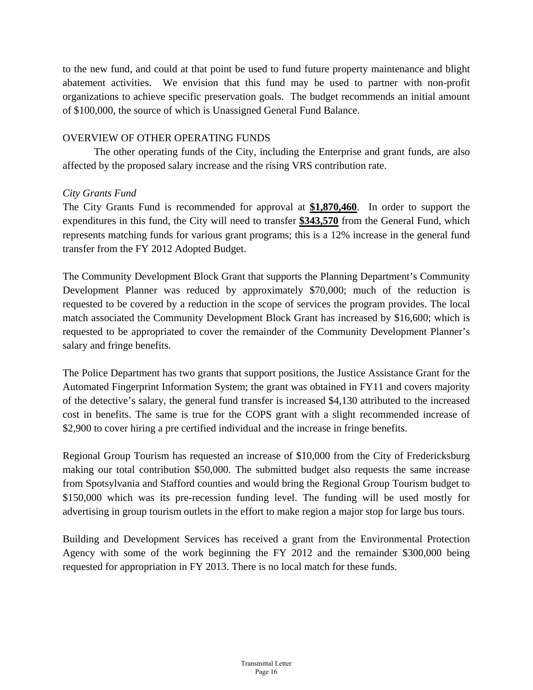to the new fund, and could at that point be used to fund future property maintenance and blight abatement activities. We envision that this fund may be used to partner with non-profit organizations to achieve specific preservation goals. The budget recommends an initial amount of \$100,000, the source of which is Unassigned General Fund Balance.

### OVERVIEW OF OTHER OPERATING FUNDS

 The other operating funds of the City, including the Enterprise and grant funds, are also affected by the proposed salary increase and the rising VRS contribution rate.

### *City Grants Fund*

The City Grants Fund is recommended for approval at **\$1,870,460**. In order to support the expenditures in this fund, the City will need to transfer **\$343,570** from the General Fund, which represents matching funds for various grant programs; this is a 12% increase in the general fund transfer from the FY 2012 Adopted Budget.

The Community Development Block Grant that supports the Planning Department's Community Development Planner was reduced by approximately \$70,000; much of the reduction is requested to be covered by a reduction in the scope of services the program provides. The local match associated the Community Development Block Grant has increased by \$16,600; which is requested to be appropriated to cover the remainder of the Community Development Planner's salary and fringe benefits.

The Police Department has two grants that support positions, the Justice Assistance Grant for the Automated Fingerprint Information System; the grant was obtained in FY11 and covers majority of the detective's salary, the general fund transfer is increased \$4,130 attributed to the increased cost in benefits. The same is true for the COPS grant with a slight recommended increase of \$2,900 to cover hiring a pre certified individual and the increase in fringe benefits.

Regional Group Tourism has requested an increase of \$10,000 from the City of Fredericksburg making our total contribution \$50,000. The submitted budget also requests the same increase from Spotsylvania and Stafford counties and would bring the Regional Group Tourism budget to \$150,000 which was its pre-recession funding level. The funding will be used mostly for advertising in group tourism outlets in the effort to make region a major stop for large bus tours.

Building and Development Services has received a grant from the Environmental Protection Agency with some of the work beginning the FY 2012 and the remainder \$300,000 being requested for appropriation in FY 2013. There is no local match for these funds.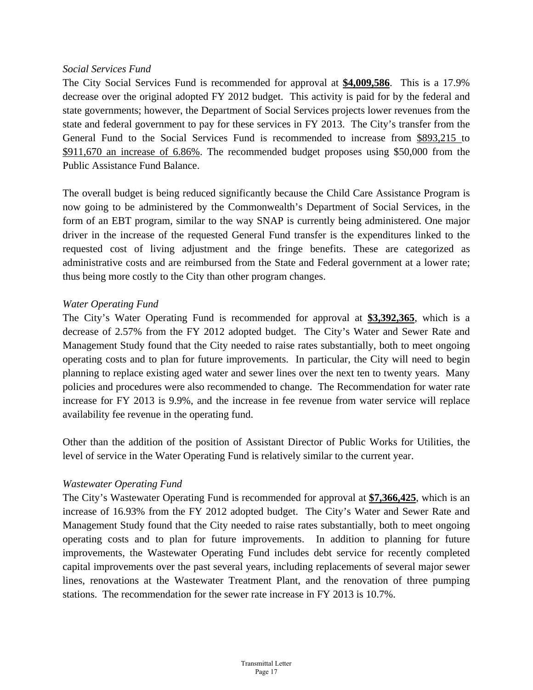#### *Social Services Fund*

The City Social Services Fund is recommended for approval at **\$4,009,586**. This is a 17.9% decrease over the original adopted FY 2012 budget. This activity is paid for by the federal and state governments; however, the Department of Social Services projects lower revenues from the state and federal government to pay for these services in FY 2013. The City's transfer from the General Fund to the Social Services Fund is recommended to increase from \$893,215 to \$911,670 an increase of 6.86%. The recommended budget proposes using \$50,000 from the Public Assistance Fund Balance.

The overall budget is being reduced significantly because the Child Care Assistance Program is now going to be administered by the Commonwealth's Department of Social Services, in the form of an EBT program, similar to the way SNAP is currently being administered. One major driver in the increase of the requested General Fund transfer is the expenditures linked to the requested cost of living adjustment and the fringe benefits. These are categorized as administrative costs and are reimbursed from the State and Federal government at a lower rate; thus being more costly to the City than other program changes.

### *Water Operating Fund*

The City's Water Operating Fund is recommended for approval at **\$3,392,365**, which is a decrease of 2.57% from the FY 2012 adopted budget. The City's Water and Sewer Rate and Management Study found that the City needed to raise rates substantially, both to meet ongoing operating costs and to plan for future improvements. In particular, the City will need to begin planning to replace existing aged water and sewer lines over the next ten to twenty years. Many policies and procedures were also recommended to change. The Recommendation for water rate increase for FY 2013 is 9.9%, and the increase in fee revenue from water service will replace availability fee revenue in the operating fund.

Other than the addition of the position of Assistant Director of Public Works for Utilities, the level of service in the Water Operating Fund is relatively similar to the current year.

## *Wastewater Operating Fund*

The City's Wastewater Operating Fund is recommended for approval at **\$7,366,425**, which is an increase of 16.93% from the FY 2012 adopted budget. The City's Water and Sewer Rate and Management Study found that the City needed to raise rates substantially, both to meet ongoing operating costs and to plan for future improvements. In addition to planning for future improvements, the Wastewater Operating Fund includes debt service for recently completed capital improvements over the past several years, including replacements of several major sewer lines, renovations at the Wastewater Treatment Plant, and the renovation of three pumping stations. The recommendation for the sewer rate increase in FY 2013 is 10.7%.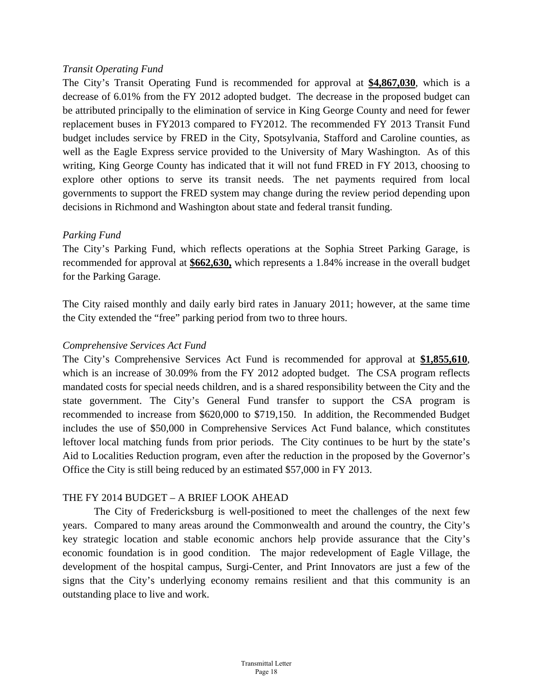#### *Transit Operating Fund*

The City's Transit Operating Fund is recommended for approval at **\$4,867,030**, which is a decrease of 6.01% from the FY 2012 adopted budget. The decrease in the proposed budget can be attributed principally to the elimination of service in King George County and need for fewer replacement buses in FY2013 compared to FY2012. The recommended FY 2013 Transit Fund budget includes service by FRED in the City, Spotsylvania, Stafford and Caroline counties, as well as the Eagle Express service provided to the University of Mary Washington. As of this writing, King George County has indicated that it will not fund FRED in FY 2013, choosing to explore other options to serve its transit needs. The net payments required from local governments to support the FRED system may change during the review period depending upon decisions in Richmond and Washington about state and federal transit funding.

## *Parking Fund*

The City's Parking Fund, which reflects operations at the Sophia Street Parking Garage, is recommended for approval at **\$662,630,** which represents a 1.84% increase in the overall budget for the Parking Garage.

The City raised monthly and daily early bird rates in January 2011; however, at the same time the City extended the "free" parking period from two to three hours.

## *Comprehensive Services Act Fund*

The City's Comprehensive Services Act Fund is recommended for approval at **\$1,855,610**, which is an increase of 30.09% from the FY 2012 adopted budget. The CSA program reflects mandated costs for special needs children, and is a shared responsibility between the City and the state government. The City's General Fund transfer to support the CSA program is recommended to increase from \$620,000 to \$719,150. In addition, the Recommended Budget includes the use of \$50,000 in Comprehensive Services Act Fund balance, which constitutes leftover local matching funds from prior periods. The City continues to be hurt by the state's Aid to Localities Reduction program, even after the reduction in the proposed by the Governor's Office the City is still being reduced by an estimated \$57,000 in FY 2013.

## THE FY 2014 BUDGET – A BRIEF LOOK AHEAD

 The City of Fredericksburg is well-positioned to meet the challenges of the next few years. Compared to many areas around the Commonwealth and around the country, the City's key strategic location and stable economic anchors help provide assurance that the City's economic foundation is in good condition. The major redevelopment of Eagle Village, the development of the hospital campus, Surgi-Center, and Print Innovators are just a few of the signs that the City's underlying economy remains resilient and that this community is an outstanding place to live and work.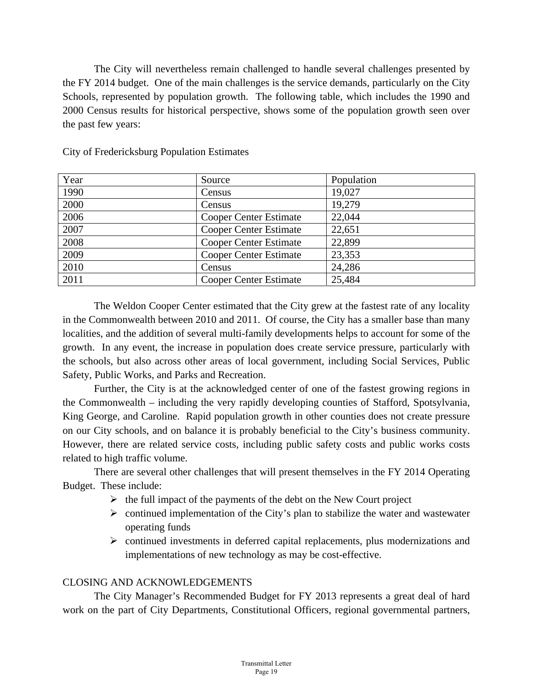The City will nevertheless remain challenged to handle several challenges presented by the FY 2014 budget. One of the main challenges is the service demands, particularly on the City Schools, represented by population growth. The following table, which includes the 1990 and 2000 Census results for historical perspective, shows some of the population growth seen over the past few years:

| Year | Source                        | Population |
|------|-------------------------------|------------|
| 1990 | Census                        | 19,027     |
| 2000 | Census                        | 19,279     |
| 2006 | <b>Cooper Center Estimate</b> | 22,044     |
| 2007 | <b>Cooper Center Estimate</b> | 22,651     |
| 2008 | <b>Cooper Center Estimate</b> | 22,899     |
| 2009 | <b>Cooper Center Estimate</b> | 23,353     |
| 2010 | Census                        | 24,286     |
| 2011 | <b>Cooper Center Estimate</b> | 25,484     |
|      |                               |            |

City of Fredericksburg Population Estimates

The Weldon Cooper Center estimated that the City grew at the fastest rate of any locality in the Commonwealth between 2010 and 2011. Of course, the City has a smaller base than many localities, and the addition of several multi-family developments helps to account for some of the growth. In any event, the increase in population does create service pressure, particularly with the schools, but also across other areas of local government, including Social Services, Public Safety, Public Works, and Parks and Recreation.

 Further, the City is at the acknowledged center of one of the fastest growing regions in the Commonwealth – including the very rapidly developing counties of Stafford, Spotsylvania, King George, and Caroline. Rapid population growth in other counties does not create pressure on our City schools, and on balance it is probably beneficial to the City's business community. However, there are related service costs, including public safety costs and public works costs related to high traffic volume.

 There are several other challenges that will present themselves in the FY 2014 Operating Budget. These include:

- $\triangleright$  the full impact of the payments of the debt on the New Court project
- $\triangleright$  continued implementation of the City's plan to stabilize the water and wastewater operating funds
- $\triangleright$  continued investments in deferred capital replacements, plus modernizations and implementations of new technology as may be cost-effective.

# CLOSING AND ACKNOWLEDGEMENTS

 The City Manager's Recommended Budget for FY 2013 represents a great deal of hard work on the part of City Departments, Constitutional Officers, regional governmental partners,